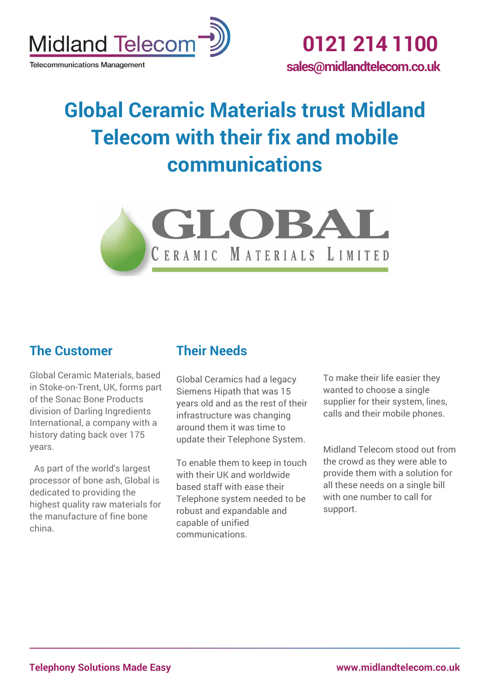

**Telecommunications Management** 

# **Global Ceramic Materials trust Midland Telecom with their fix and mobile communications**



### **The Customer**

Global Ceramic Materials, based in Stoke-on-Trent, UK, forms part of the Sonac Bone Products division of Darling Ingredients International, a company with a history dating back over 175 years.

As part of the world's largest processor of bone ash, Global is dedicated to providing the highest quality raw materials for the manufacture of fine bone china.

## **Their Needs**

Global Ceramics had a legacy Siemens Hipath that was 15 years old and as the rest of their infrastructure was changing around them it was time to update their Telephone System.

To enable them to keep in touch with their UK and worldwide based staff with ease their Telephone system needed to be robust and expandable and capable of unified communications.

To make their life easier they wanted to choose a single supplier for their system, lines, calls and their mobile phones.

Midland Telecom stood out from the crowd as they were able to provide them with a solution for all these needs on a single bill with one number to call for support.